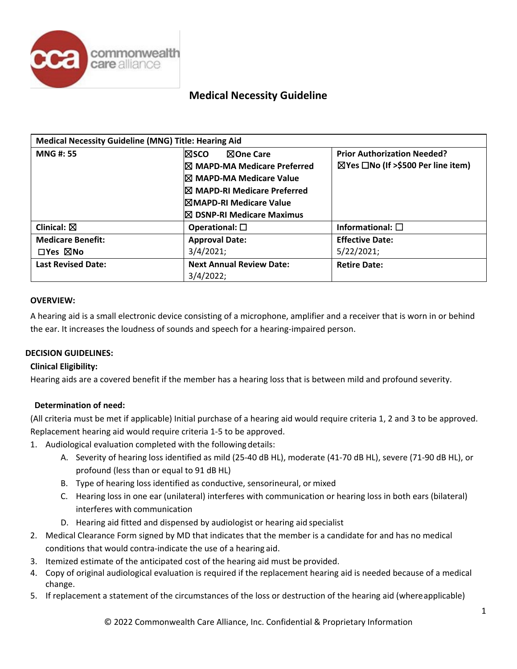

| <b>Medical Necessity Guideline (MNG) Title: Hearing Aid</b> |                                        |                                                     |  |
|-------------------------------------------------------------|----------------------------------------|-----------------------------------------------------|--|
| <b>MNG#: 55</b>                                             | ⊠One Care<br>l⊠sco                     | <b>Prior Authorization Needed?</b>                  |  |
|                                                             | $\boxtimes$ MAPD-MA Medicare Preferred | $\boxtimes$ Yes $\Box$ No (If >\$500 Per line item) |  |
|                                                             | $\boxtimes$ MAPD-MA Medicare Value     |                                                     |  |
|                                                             | I⊠ MAPD-RI Medicare Preferred          |                                                     |  |
|                                                             | $\boxtimes$ MAPD-RI Medicare Value     |                                                     |  |
|                                                             | $\boxtimes$ DSNP-RI Medicare Maximus   |                                                     |  |
| Clinical: $\boxtimes$                                       | Operational: $\square$                 | Informational: $\square$                            |  |
| <b>Medicare Benefit:</b>                                    | <b>Approval Date:</b>                  | <b>Effective Date:</b>                              |  |
| $\Box$ Yes $\boxtimes$ No                                   | 3/4/2021;                              | 5/22/2021;                                          |  |
| <b>Last Revised Date:</b>                                   | <b>Next Annual Review Date:</b>        | <b>Retire Date:</b>                                 |  |
|                                                             | $3/4/2022$ ;                           |                                                     |  |

### **OVERVIEW:**

A hearing aid is a small electronic device consisting of a microphone, amplifier and a receiver that is worn in or behind the ear. It increases the loudness of sounds and speech for a hearing-impaired person.

# **DECISION GUIDELINES:**

# **Clinical Eligibility:**

Hearing aids are a covered benefit if the member has a hearing loss that is between mild and profound severity.

# **Determination of need:**

(All criteria must be met if applicable) Initial purchase of a hearing aid would require criteria 1, 2 and 3 to be approved. Replacement hearing aid would require criteria 1-5 to be approved.

- 1. Audiological evaluation completed with the followingdetails:
	- A. Severity of hearing loss identified as mild (25-40 dB HL), moderate (41-70 dB HL), severe (71-90 dB HL), or profound (less than or equal to 91 dB HL)
	- B. Type of hearing loss identified as conductive, sensorineural, or mixed
	- C. Hearing loss in one ear (unilateral) interferes with communication or hearing loss in both ears (bilateral) interferes with communication
	- D. Hearing aid fitted and dispensed by audiologist or hearing aid specialist
- 2. Medical Clearance Form signed by MD that indicates that the member is a candidate for and has no medical conditions that would contra-indicate the use of a hearing aid.
- 3. Itemized estimate of the anticipated cost of the hearing aid must be provided.
- 4. Copy of original audiological evaluation is required if the replacement hearing aid is needed because of a medical change.
- 5. If replacement a statement of the circumstances of the loss or destruction of the hearing aid (whereapplicable)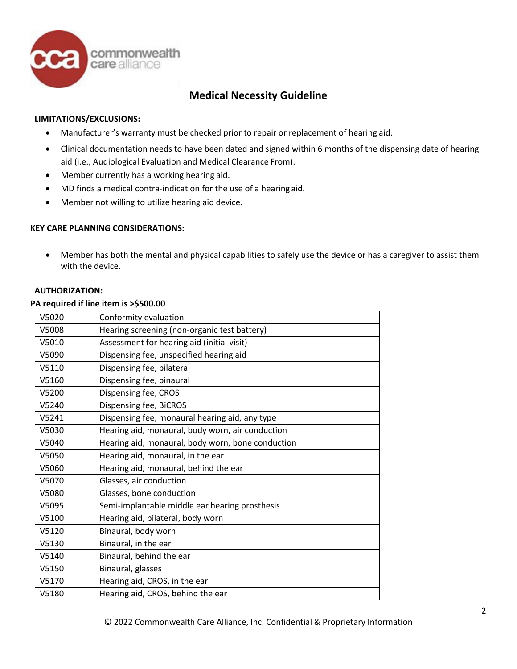

## **LIMITATIONS/EXCLUSIONS:**

- Manufacturer's warranty must be checked prior to repair or replacement of hearing aid.
- Clinical documentation needs to have been dated and signed within 6 months of the dispensing date of hearing aid (i.e., Audiological Evaluation and Medical Clearance From).
- Member currently has a working hearing aid.
- MD finds a medical contra-indication for the use of a hearing aid.
- Member not willing to utilize hearing aid device.

# **KEY CARE PLANNING CONSIDERATIONS:**

• Member has both the mental and physical capabilities to safely use the device or has a caregiver to assist them with the device.

## **AUTHORIZATION:**

#### **PA required if line item is >\$500.00**

| V5020 | Conformity evaluation                             |
|-------|---------------------------------------------------|
| V5008 | Hearing screening (non-organic test battery)      |
| V5010 | Assessment for hearing aid (initial visit)        |
| V5090 | Dispensing fee, unspecified hearing aid           |
| V5110 | Dispensing fee, bilateral                         |
| V5160 | Dispensing fee, binaural                          |
| V5200 | Dispensing fee, CROS                              |
| V5240 | Dispensing fee, BiCROS                            |
| V5241 | Dispensing fee, monaural hearing aid, any type    |
| V5030 | Hearing aid, monaural, body worn, air conduction  |
| V5040 | Hearing aid, monaural, body worn, bone conduction |
| V5050 | Hearing aid, monaural, in the ear                 |
| V5060 | Hearing aid, monaural, behind the ear             |
| V5070 | Glasses, air conduction                           |
| V5080 | Glasses, bone conduction                          |
| V5095 | Semi-implantable middle ear hearing prosthesis    |
| V5100 | Hearing aid, bilateral, body worn                 |
| V5120 | Binaural, body worn                               |
| V5130 | Binaural, in the ear                              |
| V5140 | Binaural, behind the ear                          |
| V5150 | Binaural, glasses                                 |
| V5170 | Hearing aid, CROS, in the ear                     |
| V5180 | Hearing aid, CROS, behind the ear                 |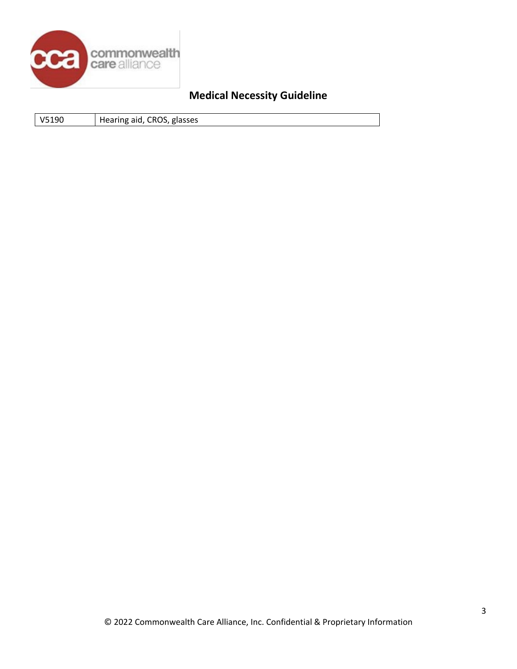

|  | V5190 | Hearing aid, CROS, glasses |  |
|--|-------|----------------------------|--|
|--|-------|----------------------------|--|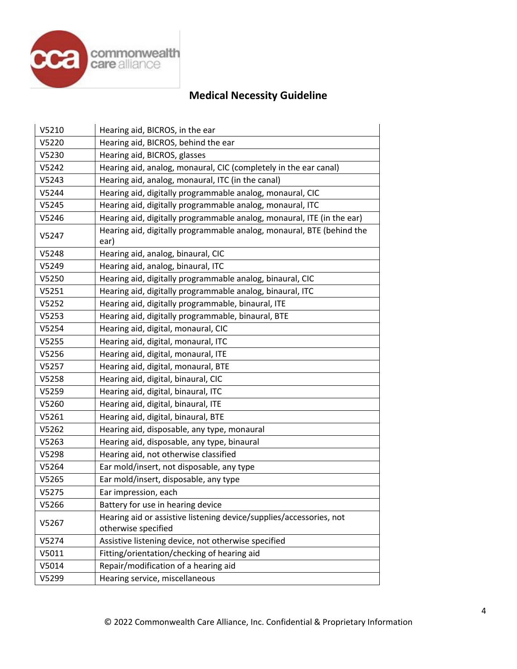

| V5210 | Hearing aid, BICROS, in the ear                                                            |
|-------|--------------------------------------------------------------------------------------------|
| V5220 | Hearing aid, BICROS, behind the ear                                                        |
| V5230 | Hearing aid, BICROS, glasses                                                               |
| V5242 | Hearing aid, analog, monaural, CIC (completely in the ear canal)                           |
| V5243 | Hearing aid, analog, monaural, ITC (in the canal)                                          |
| V5244 | Hearing aid, digitally programmable analog, monaural, CIC                                  |
| V5245 | Hearing aid, digitally programmable analog, monaural, ITC                                  |
| V5246 | Hearing aid, digitally programmable analog, monaural, ITE (in the ear)                     |
| V5247 | Hearing aid, digitally programmable analog, monaural, BTE (behind the<br>ear)              |
| V5248 | Hearing aid, analog, binaural, CIC                                                         |
| V5249 | Hearing aid, analog, binaural, ITC                                                         |
| V5250 | Hearing aid, digitally programmable analog, binaural, CIC                                  |
| V5251 | Hearing aid, digitally programmable analog, binaural, ITC                                  |
| V5252 | Hearing aid, digitally programmable, binaural, ITE                                         |
| V5253 | Hearing aid, digitally programmable, binaural, BTE                                         |
| V5254 | Hearing aid, digital, monaural, CIC                                                        |
| V5255 | Hearing aid, digital, monaural, ITC                                                        |
| V5256 | Hearing aid, digital, monaural, ITE                                                        |
| V5257 | Hearing aid, digital, monaural, BTE                                                        |
| V5258 | Hearing aid, digital, binaural, CIC                                                        |
| V5259 | Hearing aid, digital, binaural, ITC                                                        |
| V5260 | Hearing aid, digital, binaural, ITE                                                        |
| V5261 | Hearing aid, digital, binaural, BTE                                                        |
| V5262 | Hearing aid, disposable, any type, monaural                                                |
| V5263 | Hearing aid, disposable, any type, binaural                                                |
| V5298 | Hearing aid, not otherwise classified                                                      |
| V5264 | Ear mold/insert, not disposable, any type                                                  |
| V5265 | Ear mold/insert, disposable, any type                                                      |
| V5275 | Ear impression, each                                                                       |
| V5266 | Battery for use in hearing device                                                          |
| V5267 | Hearing aid or assistive listening device/supplies/accessories, not<br>otherwise specified |
| V5274 | Assistive listening device, not otherwise specified                                        |
| V5011 | Fitting/orientation/checking of hearing aid                                                |
| V5014 | Repair/modification of a hearing aid                                                       |
| V5299 | Hearing service, miscellaneous                                                             |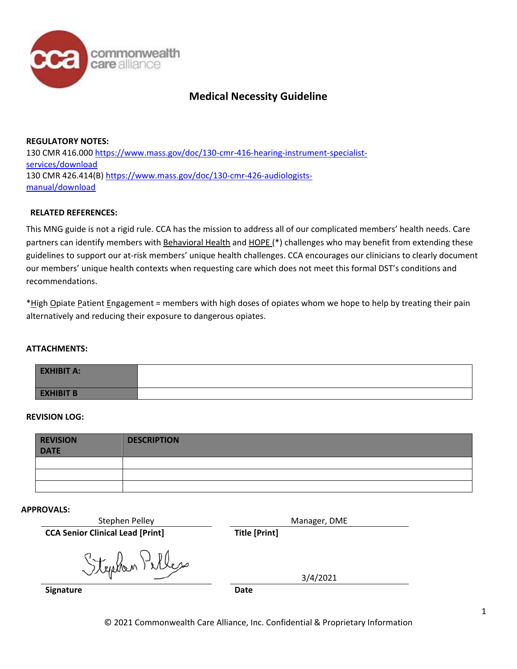

**REGULATORY NOTES:** 130 CMR 416.000 [https://www.mass.gov/doc/130-cmr-416-hearing-instrument-specialist](https://www.mass.gov/doc/130-cmr-416-hearing-instrument-specialist-services/download)[services/download](https://www.mass.gov/doc/130-cmr-416-hearing-instrument-specialist-services/download) 130 CMR 426.414(B) [https://www.mass.gov/doc/130-cmr-426-audiologists](https://www.mass.gov/files/documents/2017/09/29/130cmr426.pdf)[manual/download](https://www.mass.gov/files/documents/2017/09/29/130cmr426.pdf)

# **RELATED REFERENCES:**

This MNG guide is not a rigid rule. CCA has the mission to address all of our complicated members' health needs. Care partners can identify members with Behavioral Health and HOPE (\*) challenges who may benefit from extending these guidelines to support our at-risk members' unique health challenges. CCA encourages our clinicians to clearly document our members' unique health contexts when requesting care which does not meet this formal DST's conditions and recommendations.

\*High Opiate Patient Engagement = members with high doses of opiates whom we hope to help by treating their pain alternatively and reducing their exposure to dangerous opiates.

# **ATTACHMENTS:**

| <b>EXHIBIT A:</b> |  |
|-------------------|--|
| <b>EXHIBIT B</b>  |  |

# **REVISION LOG:**

| <b>REVISION</b><br><b>DATE</b> | <b>DESCRIPTION</b> |
|--------------------------------|--------------------|
|                                |                    |
|                                |                    |
|                                |                    |

#### **APPROVALS:**

| Stephen Pelley                          | Manager, DME         |
|-----------------------------------------|----------------------|
| <b>CCA Senior Clinical Lead [Print]</b> | <b>Title [Print]</b> |
| Stephen Pelles                          | 3/4/2021             |
| <b>Signature</b>                        | <b>Date</b>          |